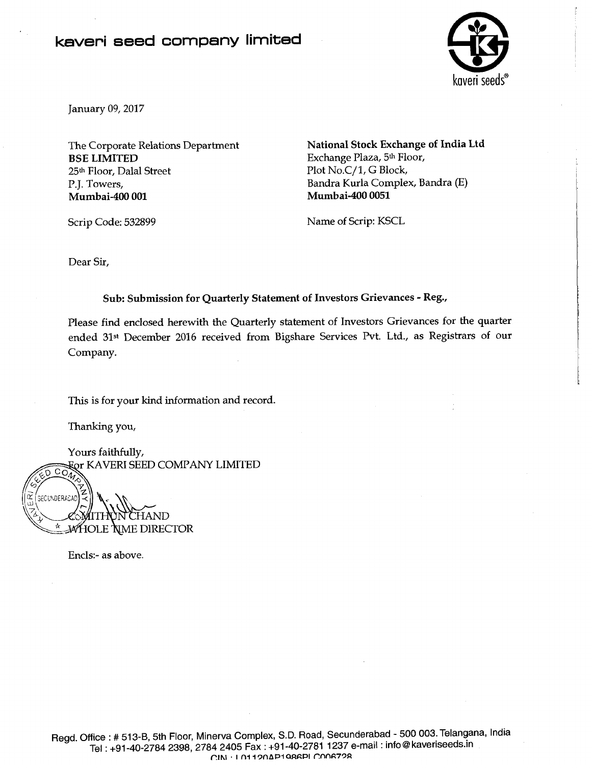## **kaveri seed company limited**



January 09,2017

BSE LIMITED Exchange Plaza, 5<sup>th</sup> Floor, 25<sup>th</sup> Floor, Dalal Street Plot No.C/1, G Block, P.J. Towers, Bandra Kurla Complex, Bandra (E)

The Corporate Relations Department National Stock Exchange of India Ltd Mumbai-400 0051

Scrip Code: 532899 Name of Scrip: KSCL

Dear Sir,

Sub: Submission for Quarterly Statement of Investors Grievances - Reg.,

Please find enclosed herewith the Quarterly statement of Investors Grievances for the quarter ended 31st December 2016 received from Bigshare Services Pvt. Ltd., as Registrars of our Company.

This is for your kind information and record.

Thanking you,

Yours faithfully, **For KAVERI SEED COMPANY LIMITED** 

 $\widetilde{\text{co}}_u$ SECUNDERACAD CHAND **MHOLE NME DIRECTOR** 

Encls:- as above.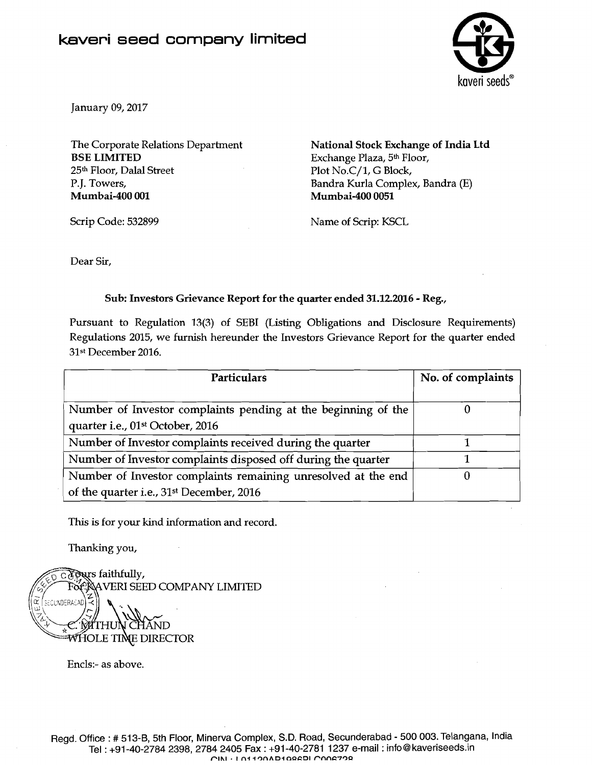

January 09,2017

The Corporate Relations Department BSE LIMITED 25th Floor, Dalal Street P.J. Towers, Mumbai-400 001

National Stock Exchange of India Ltd Exchange Plaza, 5th Floor, Plot No.C/1, G Block, Bandra Kurla Complex, Bandra (E) Mumbai-400 0051

Scrip Code: 532899

Name of Scrip: KSCL

Dear Sir,

## Sub: Investors Grievance Report for the quarter ended 31.12.2016 - Reg.,

Pursuant to Regulation **13(3)** of SEBI (Listing Obligations and Disclosure Requirements) Regulations 2015, we furnish hereunder the Investors Grievance Report for the quarter ended 31st December 2016.

| <b>Particulars</b>                                            | No. of complaints |  |
|---------------------------------------------------------------|-------------------|--|
| Number of Investor complaints pending at the beginning of the |                   |  |
| quarter i.e., 01st October, 2016                              |                   |  |
| Number of Investor complaints received during the quarter     |                   |  |
| Number of Investor complaints disposed off during the quarter |                   |  |
| Number of Investor complaints remaining unresolved at the end |                   |  |
| of the quarter i.e., 31 <sup>st</sup> December, 2016          |                   |  |

This is for your kind information and record.

Thanking you,



Encls:- as above.